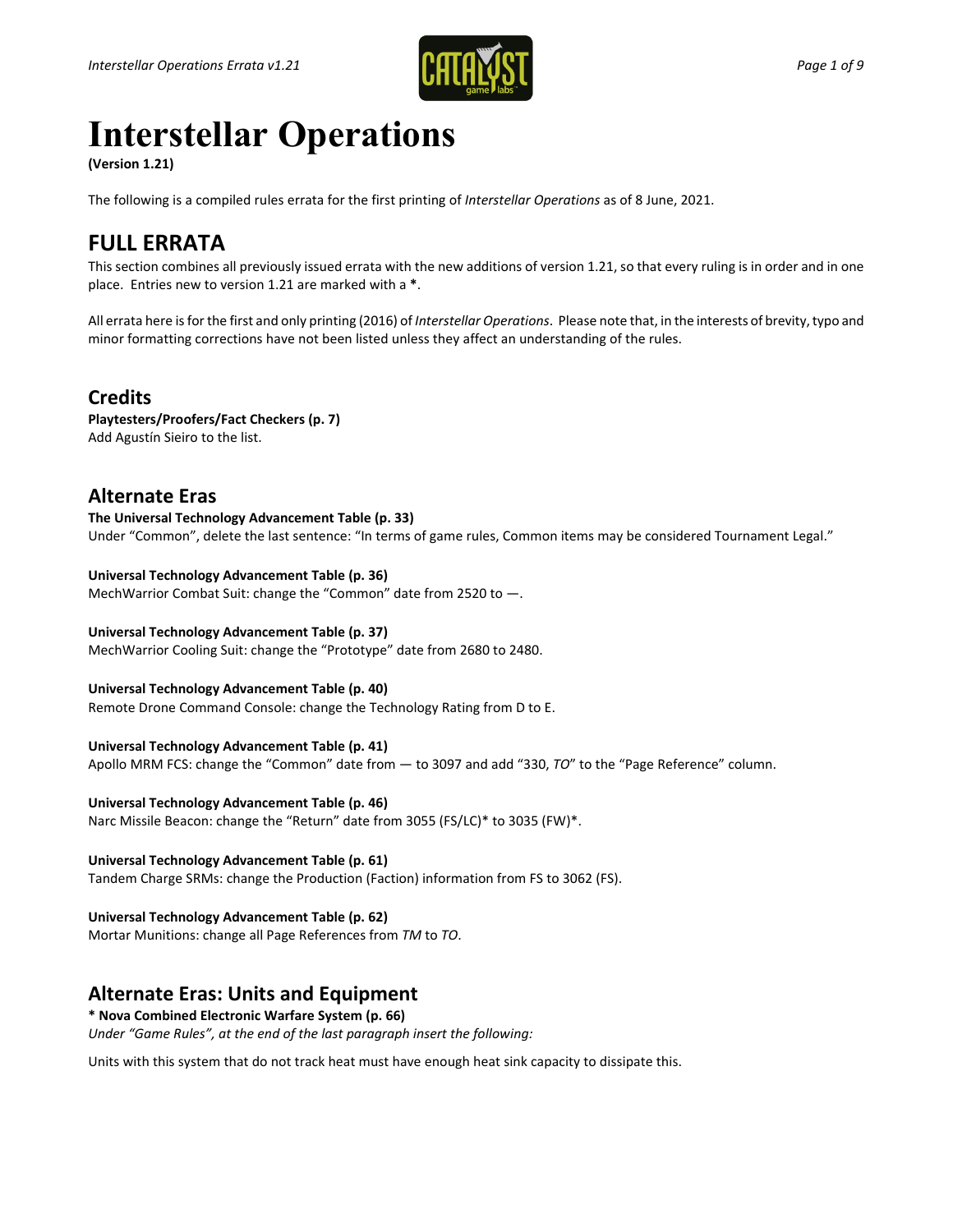

# **Interstellar Operations**

**(Version 1.21)** 

The following is a compiled rules errata for the first printing of *Interstellar Operations* as of 8 June, 2021.

# **FULL ERRATA**

This section combines all previously issued errata with the new additions of version 1.21, so that every ruling is in order and in one place. Entries new to version 1.21 are marked with a **\***.

All errata here is for the first and only printing (2016) of *Interstellar Operations*. Please note that, in the interests of brevity, typo and minor formatting corrections have not been listed unless they affect an understanding of the rules.

# **Credits**

**Playtesters/Proofers/Fact Checkers (p. 7)** Add Agustín Sieiro to the list.

# **Alternate Eras**

**The Universal Technology Advancement Table (p. 33)**  Under "Common", delete the last sentence: "In terms of game rules, Common items may be considered Tournament Legal."

#### **Universal Technology Advancement Table (p. 36)**

MechWarrior Combat Suit: change the "Common" date from 2520 to —.

#### **Universal Technology Advancement Table (p. 37)**

MechWarrior Cooling Suit: change the "Prototype" date from 2680 to 2480.

#### **Universal Technology Advancement Table (p. 40)**

Remote Drone Command Console: change the Technology Rating from D to E.

#### **Universal Technology Advancement Table (p. 41)**

Apollo MRM FCS: change the "Common" date from — to 3097 and add "330, *TO*" to the "Page Reference" column.

**Universal Technology Advancement Table (p. 46)** 

Narc Missile Beacon: change the "Return" date from 3055 (FS/LC)\* to 3035 (FW)\*.

#### **Universal Technology Advancement Table (p. 61)**

Tandem Charge SRMs: change the Production (Faction) information from FS to 3062 (FS).

#### **Universal Technology Advancement Table (p. 62)**

Mortar Munitions: change all Page References from *TM* to *TO*.

# **Alternate Eras: Units and Equipment**

**\* Nova Combined Electronic Warfare System (p. 66)**  *Under "Game Rules", at the end of the last paragraph insert the following:*

Units with this system that do not track heat must have enough heat sink capacity to dissipate this.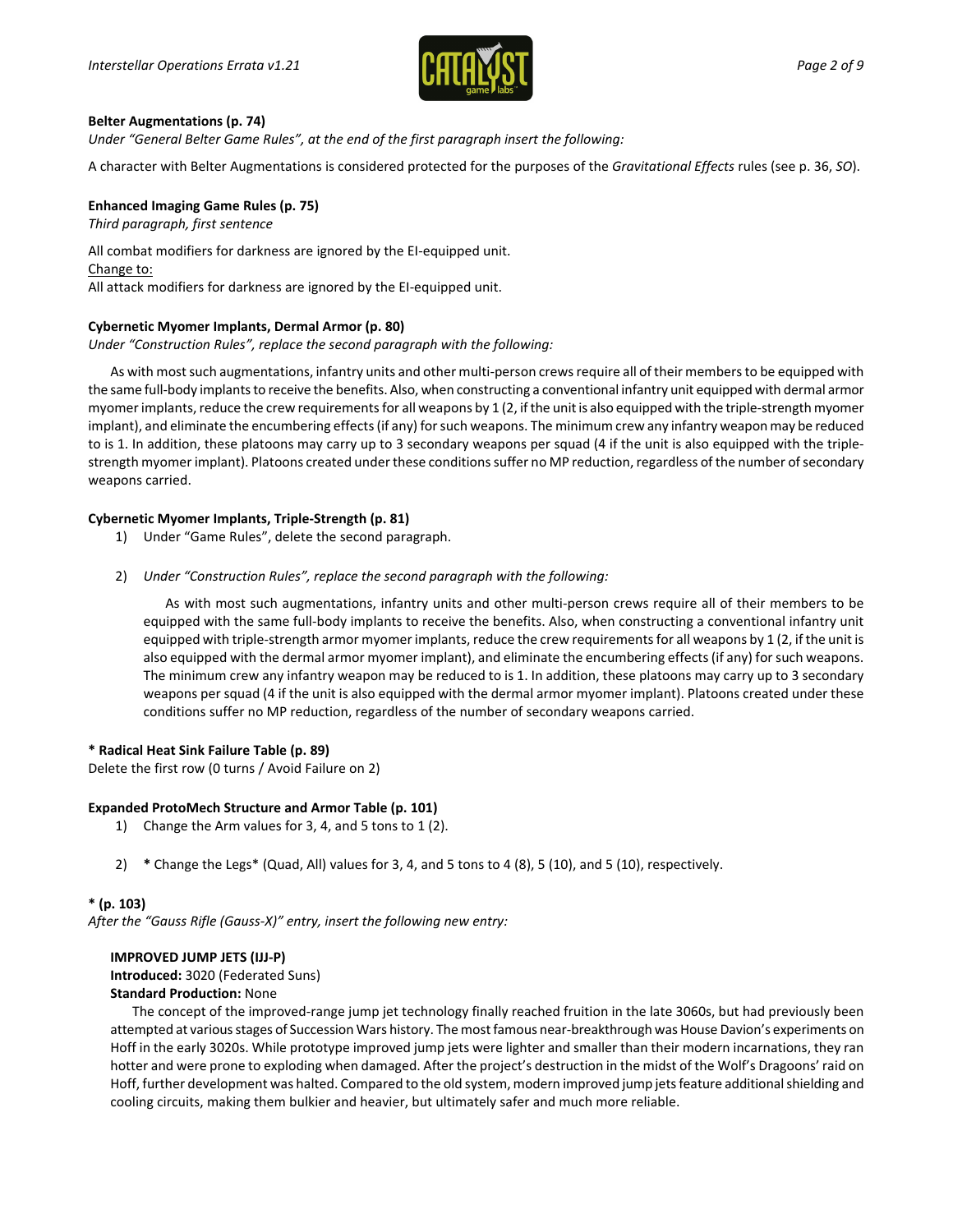

#### **Belter Augmentations (p. 74)**

*Under "General Belter Game Rules", at the end of the first paragraph insert the following:*

A character with Belter Augmentations is considered protected for the purposes of the *Gravitational Effects* rules (see p. 36, *SO*).

#### **Enhanced Imaging Game Rules (p. 75)**

*Third paragraph, first sentence*

All combat modifiers for darkness are ignored by the EI-equipped unit. Change to: All attack modifiers for darkness are ignored by the EI-equipped unit.

#### **Cybernetic Myomer Implants, Dermal Armor (p. 80)**

*Under "Construction Rules", replace the second paragraph with the following:*

As with most such augmentations, infantry units and other multi-person crews require all of their members to be equipped with the same full-body implants to receive the benefits. Also, when constructing a conventional infantry unit equipped with dermal armor myomer implants, reduce the crew requirements for all weapons by 1 (2, if the unit is also equipped with the triple-strength myomer implant), and eliminate the encumbering effects (if any) for such weapons. The minimum crew any infantry weapon may be reduced to is 1. In addition, these platoons may carry up to 3 secondary weapons per squad (4 if the unit is also equipped with the triplestrength myomer implant). Platoons created under these conditions suffer no MP reduction, regardless of the number of secondary weapons carried.

#### **Cybernetic Myomer Implants, Triple-Strength (p. 81)**

- 1) Under "Game Rules", delete the second paragraph.
- 2) *Under "Construction Rules", replace the second paragraph with the following:*

As with most such augmentations, infantry units and other multi-person crews require all of their members to be equipped with the same full-body implants to receive the benefits. Also, when constructing a conventional infantry unit equipped with triple-strength armor myomer implants, reduce the crew requirements for all weapons by 1 (2, if the unit is also equipped with the dermal armor myomer implant), and eliminate the encumbering effects (if any) for such weapons. The minimum crew any infantry weapon may be reduced to is 1. In addition, these platoons may carry up to 3 secondary weapons per squad (4 if the unit is also equipped with the dermal armor myomer implant). Platoons created under these conditions suffer no MP reduction, regardless of the number of secondary weapons carried.

#### **\* Radical Heat Sink Failure Table (p. 89)**

Delete the first row (0 turns / Avoid Failure on 2)

#### **Expanded ProtoMech Structure and Armor Table (p. 101)**

- 1) Change the Arm values for 3, 4, and 5 tons to 1 (2).
- 2) **\*** Change the Legs\* (Quad, All) values for 3, 4, and 5 tons to 4 (8), 5 (10), and 5 (10), respectively.

#### **\* (p. 103)**

*After the "Gauss Rifle (Gauss-X)" entry, insert the following new entry:*

#### **IMPROVED JUMP JETS (IJJ-P) Introduced:** 3020 (Federated Suns) **Standard Production:** None

The concept of the improved-range jump jet technology finally reached fruition in the late 3060s, but had previously been attempted at variousstages of Succession Wars history. The most famous near-breakthrough was House Davion's experiments on Hoff in the early 3020s. While prototype improved jump jets were lighter and smaller than their modern incarnations, they ran hotter and were prone to exploding when damaged. After the project's destruction in the midst of the Wolf's Dragoons' raid on Hoff, further development was halted. Compared to the old system, modern improved jump jets feature additional shielding and cooling circuits, making them bulkier and heavier, but ultimately safer and much more reliable.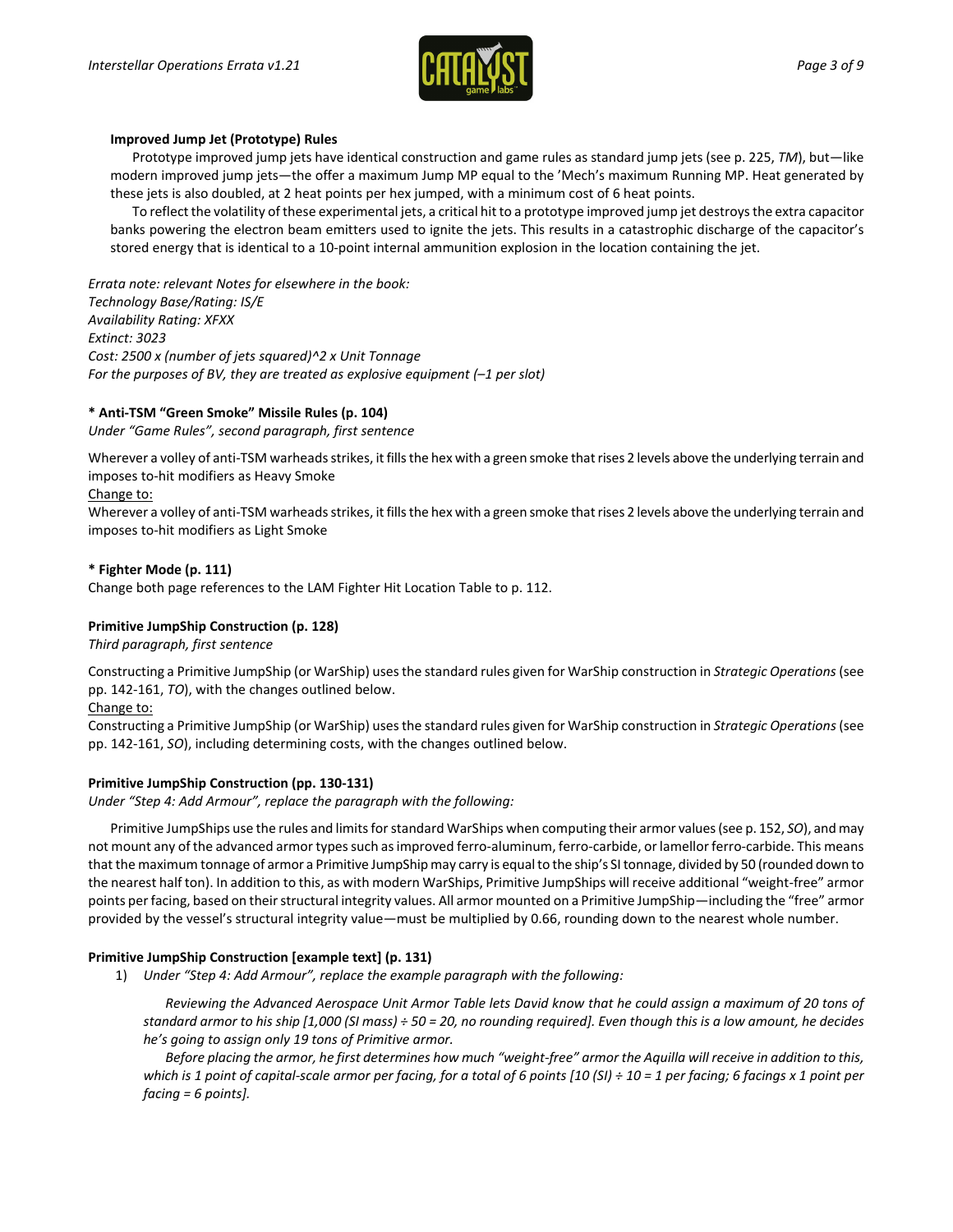

#### **Improved Jump Jet (Prototype) Rules**

Prototype improved jump jets have identical construction and game rules as standard jump jets (see p. 225, *TM*), but—like modern improved jump jets—the offer a maximum Jump MP equal to the 'Mech's maximum Running MP. Heat generated by these jets is also doubled, at 2 heat points per hex jumped, with a minimum cost of 6 heat points.

To reflect the volatility of these experimental jets, a critical hit to a prototype improved jump jet destroys the extra capacitor banks powering the electron beam emitters used to ignite the jets. This results in a catastrophic discharge of the capacitor's stored energy that is identical to a 10-point internal ammunition explosion in the location containing the jet.

*Errata note: relevant Notes for elsewhere in the book: Technology Base/Rating: IS/E Availability Rating: XFXX Extinct: 3023 Cost: 2500 x (number of jets squared)^2 x Unit Tonnage For the purposes of BV, they are treated as explosive equipment (–1 per slot)*

#### **\* Anti-TSM "Green Smoke" Missile Rules (p. 104)**

*Under "Game Rules", second paragraph, first sentence*

Wherever a volley of anti-TSM warheads strikes, it fills the hex with a green smoke that rises 2 levels above the underlying terrain and imposes to-hit modifiers as Heavy Smoke

#### Change to:

Wherever a volley of anti-TSM warheads strikes, it fills the hex with a green smoke that rises 2 levels above the underlying terrain and imposes to-hit modifiers as Light Smoke

#### **\* Fighter Mode (p. 111)**

Change both page references to the LAM Fighter Hit Location Table to p. 112.

#### **Primitive JumpShip Construction (p. 128)**

*Third paragraph, first sentence*

Constructing a Primitive JumpShip (or WarShip) uses the standard rules given for WarShip construction in *Strategic Operations* (see pp. 142-161, *TO*), with the changes outlined below.

Change to:

Constructing a Primitive JumpShip (or WarShip) uses the standard rules given for WarShip construction in *Strategic Operations*(see pp. 142-161, *SO*), including determining costs, with the changes outlined below.

#### **Primitive JumpShip Construction (pp. 130-131)**

*Under "Step 4: Add Armour", replace the paragraph with the following:*

Primitive JumpShips use the rules and limits for standard WarShips when computing their armor values (see p. 152, *SO*), and may not mount any of the advanced armor types such as improved ferro-aluminum, ferro-carbide, or lamellor ferro-carbide. This means that the maximum tonnage of armor a Primitive JumpShip may carry is equal to the ship's SI tonnage, divided by 50 (rounded down to the nearest half ton). In addition to this, as with modern WarShips, Primitive JumpShips will receive additional "weight-free" armor points per facing, based on their structural integrity values. All armor mounted on a Primitive JumpShip—including the "free" armor provided by the vessel's structural integrity value—must be multiplied by 0.66, rounding down to the nearest whole number.

#### **Primitive JumpShip Construction [example text] (p. 131)**

1) *Under "Step 4: Add Armour", replace the example paragraph with the following:*

*Reviewing the Advanced Aerospace Unit Armor Table lets David know that he could assign a maximum of 20 tons of standard armor to his ship [1,000 (SI mass) ÷ 50 = 20, no rounding required]. Even though this is a low amount, he decides he's going to assign only 19 tons of Primitive armor.*

*Before placing the armor, he first determines how much "weight-free" armor the Aquilla will receive in addition to this, which is 1 point of capital-scale armor per facing, for a total of 6 points [10 (SI) ÷ 10 = 1 per facing; 6 facings x 1 point per facing = 6 points].*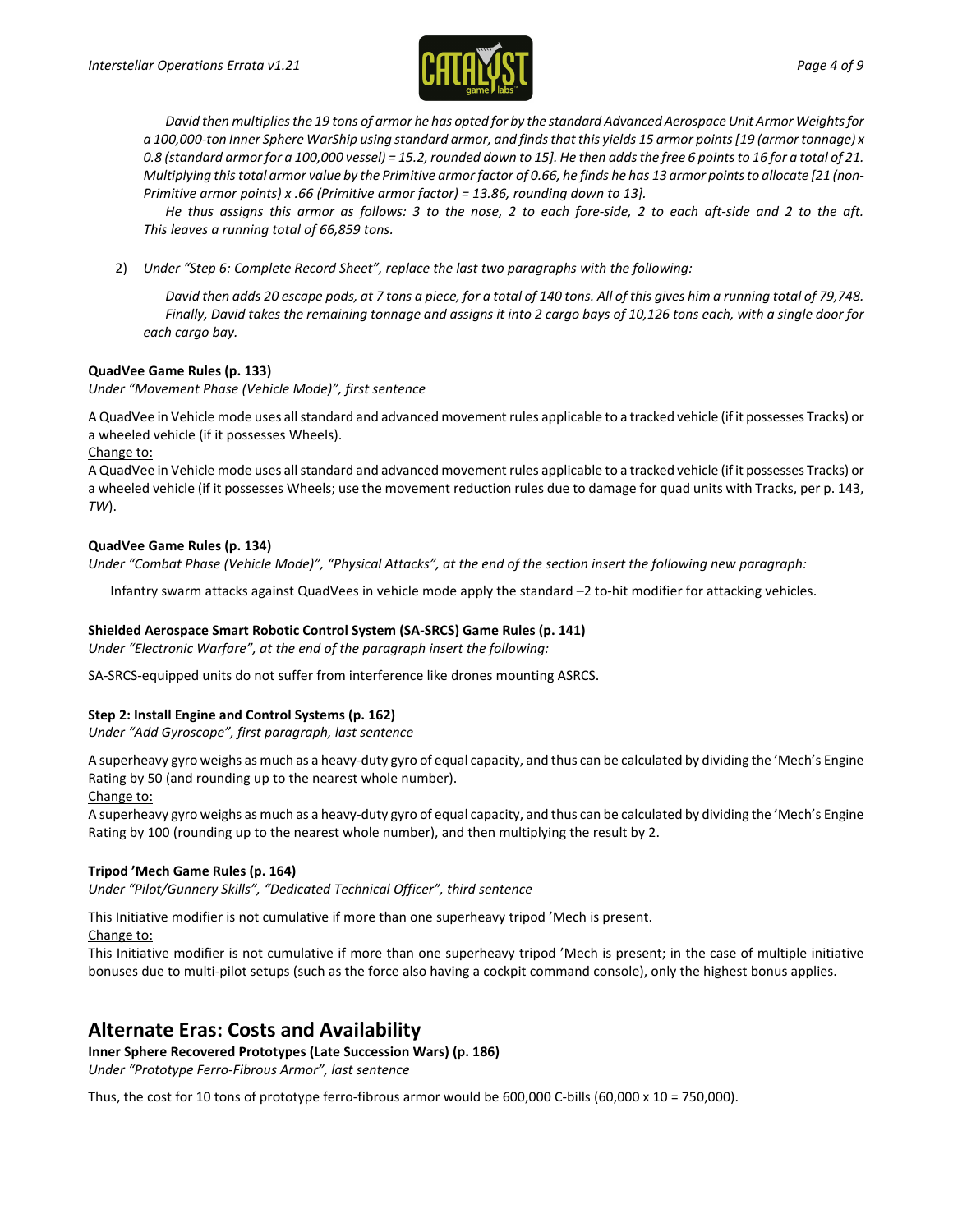

*David then multiplies the 19 tons of armor he has opted for by the standard Advanced Aerospace Unit Armor Weights for a 100,000-ton Inner Sphere WarShip using standard armor, and finds that this yields 15 armor points [19 (armor tonnage) x 0.8 (standard armor for a 100,000 vessel) = 15.2, rounded down to 15]. He then adds the free 6 points to 16 for a total of 21. Multiplying this total armor value by the Primitive armor factor of 0.66, he finds he has 13 armor points to allocate [21 (non-Primitive armor points) x .66 (Primitive armor factor) = 13.86, rounding down to 13].*

*He thus assigns this armor as follows: 3 to the nose, 2 to each fore-side, 2 to each aft-side and 2 to the aft. This leaves a running total of 66,859 tons.*

2) *Under "Step 6: Complete Record Sheet", replace the last two paragraphs with the following:*

*David then adds 20 escape pods, at 7 tons a piece, for a total of 140 tons. All of this gives him a running total of 79,748. Finally, David takes the remaining tonnage and assigns it into 2 cargo bays of 10,126 tons each, with a single door for each cargo bay.*

#### **QuadVee Game Rules (p. 133)**

*Under "Movement Phase (Vehicle Mode)", first sentence*

A QuadVee in Vehicle mode uses all standard and advanced movement rules applicable to a tracked vehicle (if it possesses Tracks) or a wheeled vehicle (if it possesses Wheels).

Change to:

A QuadVee in Vehicle mode uses all standard and advanced movement rules applicable to a tracked vehicle (if it possesses Tracks) or a wheeled vehicle (if it possesses Wheels; use the movement reduction rules due to damage for quad units with Tracks, per p. 143, *TW*).

#### **QuadVee Game Rules (p. 134)**

*Under "Combat Phase (Vehicle Mode)", "Physical Attacks", at the end of the section insert the following new paragraph:*

Infantry swarm attacks against QuadVees in vehicle mode apply the standard –2 to-hit modifier for attacking vehicles.

#### **Shielded Aerospace Smart Robotic Control System (SA-SRCS) Game Rules (p. 141)**

*Under "Electronic Warfare", at the end of the paragraph insert the following:*

SA-SRCS-equipped units do not suffer from interference like drones mounting ASRCS.

#### **Step 2: Install Engine and Control Systems (p. 162)**

*Under "Add Gyroscope", first paragraph, last sentence*

A superheavy gyro weighs as much as a heavy-duty gyro of equal capacity, and thus can be calculated by dividing the 'Mech's Engine Rating by 50 (and rounding up to the nearest whole number).

#### Change to:

A superheavy gyro weighs as much as a heavy-duty gyro of equal capacity, and thus can be calculated by dividing the 'Mech's Engine Rating by 100 (rounding up to the nearest whole number), and then multiplying the result by 2.

#### **Tripod 'Mech Game Rules (p. 164)**

*Under "Pilot/Gunnery Skills", "Dedicated Technical Officer", third sentence*

This Initiative modifier is not cumulative if more than one superheavy tripod 'Mech is present.

#### Change to:

This Initiative modifier is not cumulative if more than one superheavy tripod 'Mech is present; in the case of multiple initiative bonuses due to multi-pilot setups (such as the force also having a cockpit command console), only the highest bonus applies.

# **Alternate Eras: Costs and Availability**

**Inner Sphere Recovered Prototypes (Late Succession Wars) (p. 186)**

*Under "Prototype Ferro-Fibrous Armor", last sentence*

Thus, the cost for 10 tons of prototype ferro-fibrous armor would be 600,000 C-bills (60,000 x 10 = 750,000).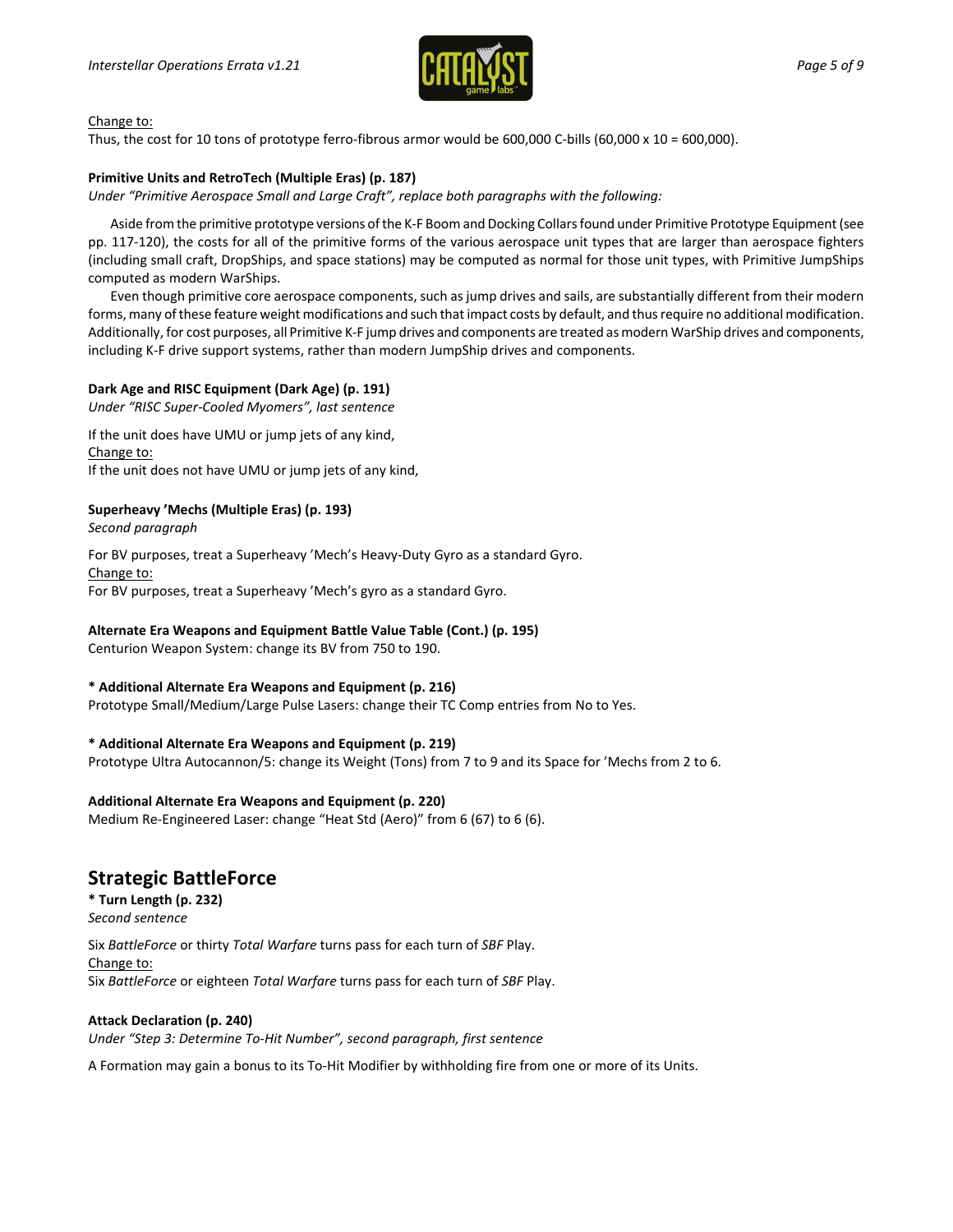

#### Change to:

Thus, the cost for 10 tons of prototype ferro-fibrous armor would be 600,000 C-bills (60,000 x 10 = 600,000).

#### **Primitive Units and RetroTech (Multiple Eras) (p. 187)**

*Under "Primitive Aerospace Small and Large Craft", replace both paragraphs with the following:*

Aside from the primitive prototype versions of the K-F Boom and Docking Collars found under Primitive Prototype Equipment (see pp. 117-120), the costs for all of the primitive forms of the various aerospace unit types that are larger than aerospace fighters (including small craft, DropShips, and space stations) may be computed as normal for those unit types, with Primitive JumpShips computed as modern WarShips.

Even though primitive core aerospace components, such as jump drives and sails, are substantially different from their modern forms, many of these feature weight modifications and such that impact costs by default, and thus require no additional modification. Additionally, for cost purposes, all Primitive K-F jump drives and components are treated as modern WarShip drives and components, including K-F drive support systems, rather than modern JumpShip drives and components.

#### **Dark Age and RISC Equipment (Dark Age) (p. 191)**

*Under "RISC Super-Cooled Myomers", last sentence*

If the unit does have UMU or jump jets of any kind, Change to: If the unit does not have UMU or jump jets of any kind,

#### **Superheavy 'Mechs (Multiple Eras) (p. 193)**

*Second paragraph*

For BV purposes, treat a Superheavy 'Mech's Heavy-Duty Gyro as a standard Gyro. Change to: For BV purposes, treat a Superheavy 'Mech's gyro as a standard Gyro.

#### **Alternate Era Weapons and Equipment Battle Value Table (Cont.) (p. 195)**

Centurion Weapon System: change its BV from 750 to 190.

#### **\* Additional Alternate Era Weapons and Equipment (p. 216)**

Prototype Small/Medium/Large Pulse Lasers: change their TC Comp entries from No to Yes.

#### **\* Additional Alternate Era Weapons and Equipment (p. 219)**

Prototype Ultra Autocannon/5: change its Weight (Tons) from 7 to 9 and its Space for 'Mechs from 2 to 6.

#### **Additional Alternate Era Weapons and Equipment (p. 220)**

Medium Re-Engineered Laser: change "Heat Std (Aero)" from 6 (67) to 6 (6).

### **Strategic BattleForce**

**\* Turn Length (p. 232)** *Second sentence*

Six *BattleForce* or thirty *Total Warfare* turns pass for each turn of *SBF* Play. Change to: Six *BattleForce* or eighteen *Total Warfare* turns pass for each turn of *SBF* Play.

#### **Attack Declaration (p. 240)**

*Under "Step 3: Determine To-Hit Number", second paragraph, first sentence*

A Formation may gain a bonus to its To-Hit Modifier by withholding fire from one or more of its Units.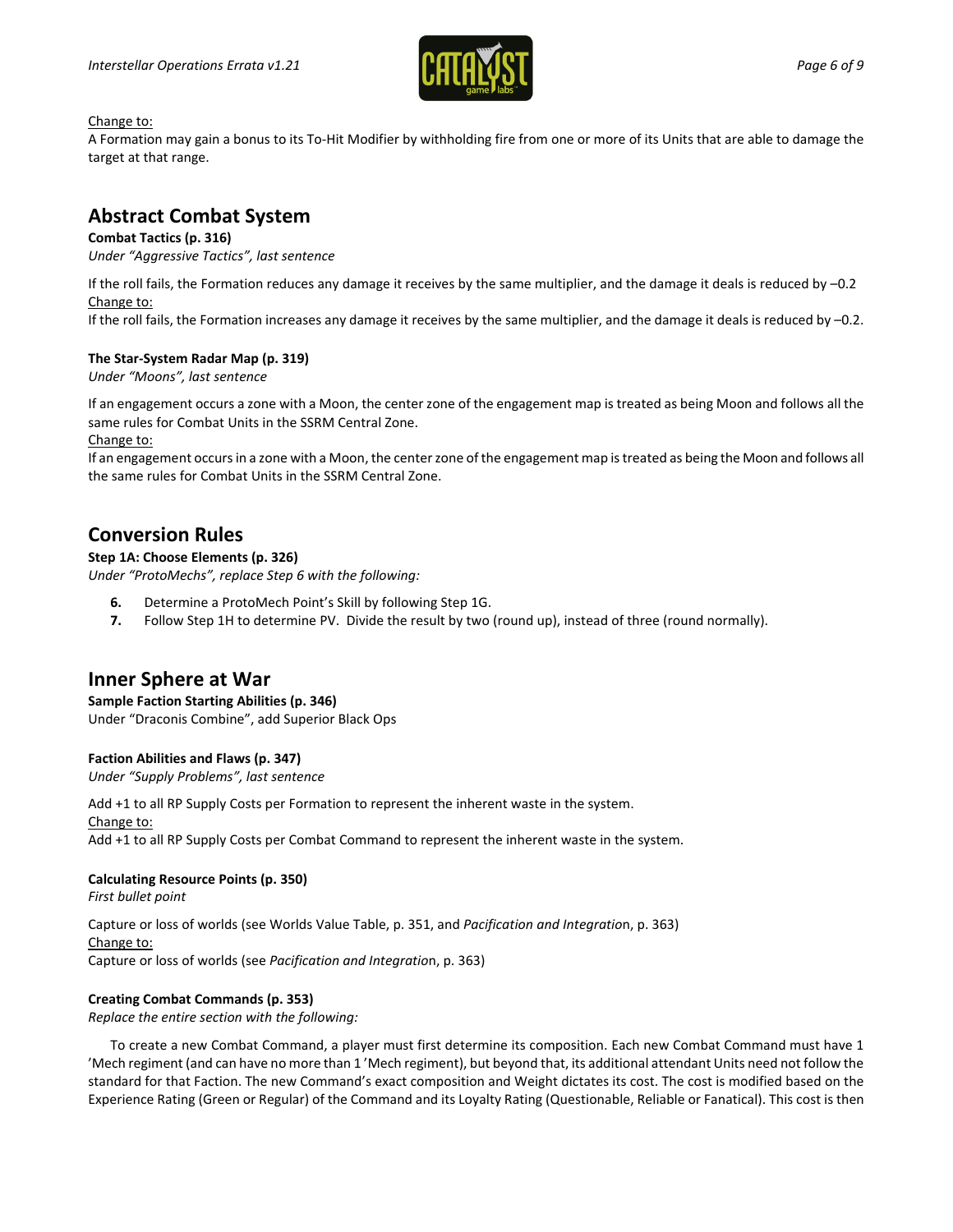

#### Change to:

A Formation may gain a bonus to its To-Hit Modifier by withholding fire from one or more of its Units that are able to damage the target at that range.

# **Abstract Combat System**

#### **Combat Tactics (p. 316)**

*Under "Aggressive Tactics", last sentence*

If the roll fails, the Formation reduces any damage it receives by the same multiplier, and the damage it deals is reduced by –0.2 Change to:

If the roll fails, the Formation increases any damage it receives by the same multiplier, and the damage it deals is reduced by –0.2.

#### **The Star-System Radar Map (p. 319)**

*Under "Moons", last sentence*

If an engagement occurs a zone with a Moon, the center zone of the engagement map is treated as being Moon and follows all the same rules for Combat Units in the SSRM Central Zone.

#### Change to:

If an engagement occurs in a zone with a Moon, the center zone of the engagement map is treated as being the Moon and follows all the same rules for Combat Units in the SSRM Central Zone.

### **Conversion Rules**

#### **Step 1A: Choose Elements (p. 326)**

*Under "ProtoMechs", replace Step 6 with the following:*

- **6.** Determine a ProtoMech Point's Skill by following Step 1G.
- **7.** Follow Step 1H to determine PV. Divide the result by two (round up), instead of three (round normally).

# **Inner Sphere at War**

**Sample Faction Starting Abilities (p. 346)**  Under "Draconis Combine", add Superior Black Ops

#### **Faction Abilities and Flaws (p. 347)**

*Under "Supply Problems", last sentence*

Add +1 to all RP Supply Costs per Formation to represent the inherent waste in the system. Change to: Add +1 to all RP Supply Costs per Combat Command to represent the inherent waste in the system.

#### **Calculating Resource Points (p. 350)**

*First bullet point*

Capture or loss of worlds (see Worlds Value Table, p. 351, and *Pacification and Integratio*n, p. 363) Change to: Capture or loss of worlds (see *Pacification and Integratio*n, p. 363)

#### **Creating Combat Commands (p. 353)**

*Replace the entire section with the following:*

To create a new Combat Command, a player must first determine its composition. Each new Combat Command must have 1 'Mech regiment (and can have no more than 1 'Mech regiment), but beyond that, its additional attendant Units need not follow the standard for that Faction. The new Command's exact composition and Weight dictates its cost. The cost is modified based on the Experience Rating (Green or Regular) of the Command and its Loyalty Rating (Questionable, Reliable or Fanatical). This cost is then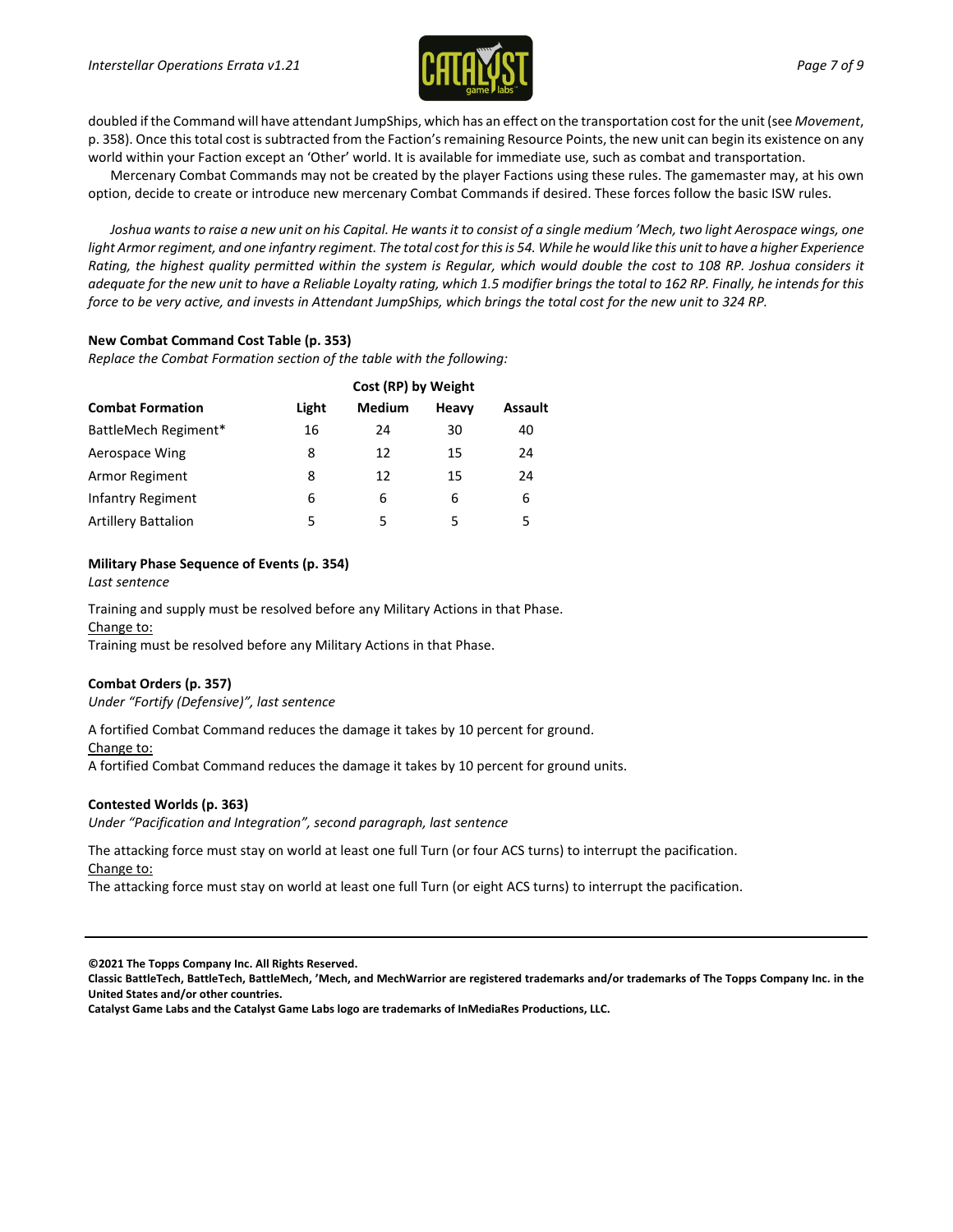

doubled if the Command will have attendant JumpShips, which has an effect on the transportation cost for the unit (see *Movement*, p. 358). Once this total cost is subtracted from the Faction's remaining Resource Points, the new unit can begin its existence on any world within your Faction except an 'Other' world. It is available for immediate use, such as combat and transportation.

Mercenary Combat Commands may not be created by the player Factions using these rules. The gamemaster may, at his own option, decide to create or introduce new mercenary Combat Commands if desired. These forces follow the basic ISW rules.

Joshua wants to raise a new unit on his Capital. He wants it to consist of a single medium 'Mech, two light Aerospace wings, one light Armor regiment, and one infantry regiment. The total cost for this is 54. While he would like this unit to have a higher Experience *Rating, the highest quality permitted within the system is Regular, which would double the cost to 108 RP. Joshua considers it adequate for the new unit to have a Reliable Loyalty rating, which 1.5 modifier brings the total to 162 RP. Finally, he intends for this force to be very active, and invests in Attendant JumpShips, which brings the total cost for the new unit to 324 RP.*

#### **New Combat Command Cost Table (p. 353)**

*Replace the Combat Formation section of the table with the following:*

| <b>Combat Formation</b>    | Cost (RP) by Weight |               |       |                |
|----------------------------|---------------------|---------------|-------|----------------|
|                            | Light               | <b>Medium</b> | Heavy | <b>Assault</b> |
| BattleMech Regiment*       | 16                  | 24            | 30    | 40             |
| Aerospace Wing             | 8                   | 12            | 15    | 24             |
| Armor Regiment             | 8                   | 12            | 15    | 24             |
| Infantry Regiment          | 6                   | 6             | 6     | 6              |
| <b>Artillery Battalion</b> | 5                   | 5             | 5     | 5              |

#### **Military Phase Sequence of Events (p. 354)**

*Last sentence*

Training and supply must be resolved before any Military Actions in that Phase. Change to:

Training must be resolved before any Military Actions in that Phase.

#### **Combat Orders (p. 357)**

*Under "Fortify (Defensive)", last sentence*

A fortified Combat Command reduces the damage it takes by 10 percent for ground. Change to: A fortified Combat Command reduces the damage it takes by 10 percent for ground units.

#### **Contested Worlds (p. 363)**

*Under "Pacification and Integration", second paragraph, last sentence*

The attacking force must stay on world at least one full Turn (or four ACS turns) to interrupt the pacification. Change to:

The attacking force must stay on world at least one full Turn (or eight ACS turns) to interrupt the pacification.

**©2021 The Topps Company Inc. All Rights Reserved.**

**Classic BattleTech, BattleTech, BattleMech, 'Mech, and MechWarrior are registered trademarks and/or trademarks of The Topps Company Inc. in the United States and/or other countries.**

**Catalyst Game Labs and the Catalyst Game Labs logo are trademarks of InMediaRes Productions, LLC.**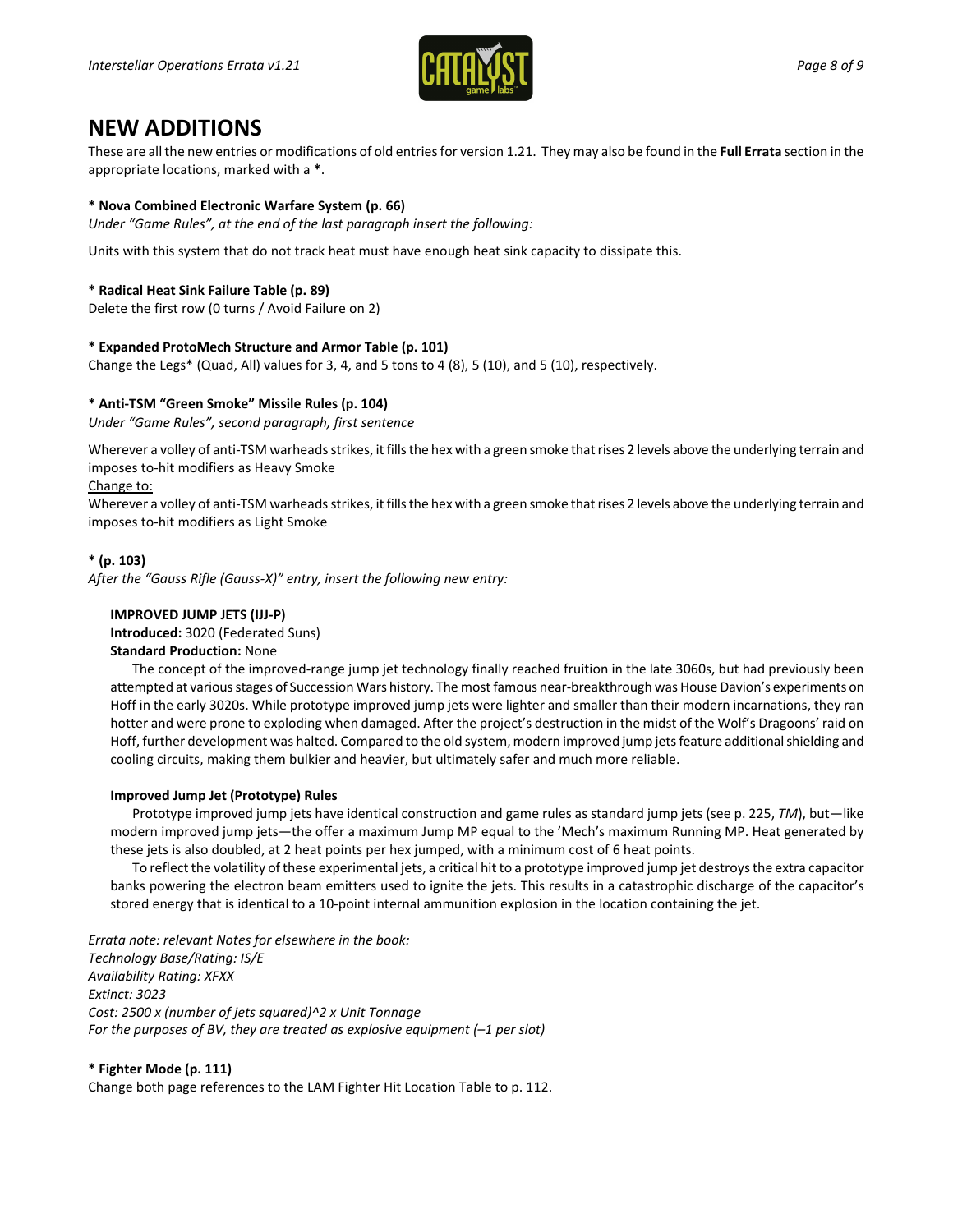

# **NEW ADDITIONS**

These are all the new entries or modifications of old entries for version 1.21. They may also be found in the **Full Errata** section in the appropriate locations, marked with a **\***.

#### **\* Nova Combined Electronic Warfare System (p. 66)**

*Under "Game Rules", at the end of the last paragraph insert the following:*

Units with this system that do not track heat must have enough heat sink capacity to dissipate this.

#### **\* Radical Heat Sink Failure Table (p. 89)**

Delete the first row (0 turns / Avoid Failure on 2)

#### **\* Expanded ProtoMech Structure and Armor Table (p. 101)**

Change the Legs\* (Quad, All) values for 3, 4, and 5 tons to 4 (8), 5 (10), and 5 (10), respectively.

#### **\* Anti-TSM "Green Smoke" Missile Rules (p. 104)**

*Under "Game Rules", second paragraph, first sentence*

Wherever a volley of anti-TSM warheads strikes, it fills the hex with a green smoke that rises 2 levels above the underlying terrain and imposes to-hit modifiers as Heavy Smoke

#### Change to:

Wherever a volley of anti-TSM warheads strikes, it fills the hex with a green smoke that rises 2 levels above the underlying terrain and imposes to-hit modifiers as Light Smoke

#### **\* (p. 103)**

*After the "Gauss Rifle (Gauss-X)" entry, insert the following new entry:*

#### **IMPROVED JUMP JETS (IJJ-P)**

**Introduced:** 3020 (Federated Suns) **Standard Production:** None

The concept of the improved-range jump jet technology finally reached fruition in the late 3060s, but had previously been attempted at variousstages of Succession Wars history. The most famous near-breakthrough was House Davion's experiments on Hoff in the early 3020s. While prototype improved jump jets were lighter and smaller than their modern incarnations, they ran hotter and were prone to exploding when damaged. After the project's destruction in the midst of the Wolf's Dragoons' raid on Hoff, further development was halted. Compared to the old system, modern improved jump jets feature additional shielding and cooling circuits, making them bulkier and heavier, but ultimately safer and much more reliable.

#### **Improved Jump Jet (Prototype) Rules**

Prototype improved jump jets have identical construction and game rules as standard jump jets (see p. 225, *TM*), but—like modern improved jump jets—the offer a maximum Jump MP equal to the 'Mech's maximum Running MP. Heat generated by these jets is also doubled, at 2 heat points per hex jumped, with a minimum cost of 6 heat points.

To reflect the volatility of these experimental jets, a critical hit to a prototype improved jump jet destroys the extra capacitor banks powering the electron beam emitters used to ignite the jets. This results in a catastrophic discharge of the capacitor's stored energy that is identical to a 10-point internal ammunition explosion in the location containing the jet.

*Errata note: relevant Notes for elsewhere in the book: Technology Base/Rating: IS/E Availability Rating: XFXX Extinct: 3023 Cost: 2500 x (number of jets squared)^2 x Unit Tonnage For the purposes of BV, they are treated as explosive equipment (–1 per slot)*

#### **\* Fighter Mode (p. 111)**

Change both page references to the LAM Fighter Hit Location Table to p. 112.